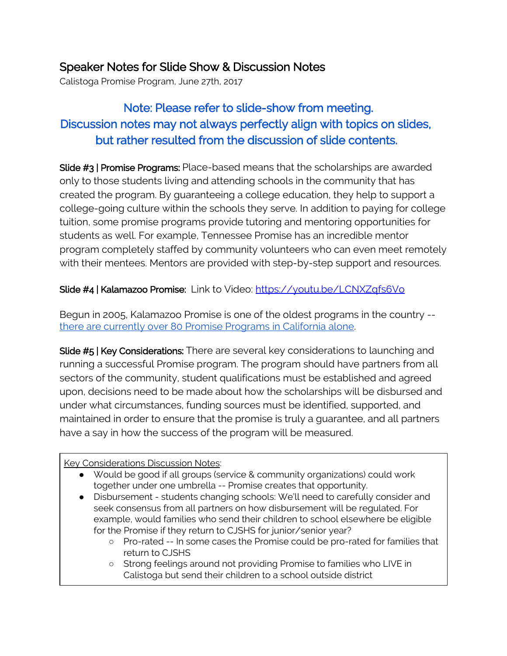# Speaker Notes for Slide Show & Discussion Notes

Calistoga Promise Program, June 27th, 2017

# Note: Please refer to slide-show from meeting. Discussion notes may not always perfectly align with topics on slides, but rather resulted from the discussion of slide contents.

Slide #3 | Promise Programs: Place-based means that the scholarships are awarded only to those students living and attending schools in the community that has created the program. By guaranteeing a college education, they help to support a college-going culture within the schools they serve. In addition to paying for college tuition, some promise programs provide tutoring and mentoring opportunities for students as well. For example, Tennessee Promise has an incredible mentor program completely staffed by community volunteers who can even meet remotely with their mentees. Mentors are provided with step-by-step support and resources.

## Slide #4 | Kalamazoo Promise: Link to Video: <https://youtu.be/LCNXZqfs6Vo>

Begun in 2005, Kalamazoo Promise is one of the oldest programs in the country - there are currently over 80 Promise [Programs](https://relwest.wested.org/resources/221) in California alone.

Slide #5 | Key Considerations: There are several key considerations to launching and running a successful Promise program. The program should have partners from all sectors of the community, student qualifications must be established and agreed upon, decisions need to be made about how the scholarships will be disbursed and under what circumstances, funding sources must be identified, supported, and maintained in order to ensure that the promise is truly a guarantee, and all partners have a say in how the success of the program will be measured.

### Key Considerations Discussion Notes:

- Would be good if all groups (service & community organizations) could work together under one umbrella -- Promise creates that opportunity.
- Disbursement students changing schools: We'll need to carefully consider and seek consensus from all partners on how disbursement will be regulated. For example, would families who send their children to school elsewhere be eligible for the Promise if they return to CJSHS for junior/senior year?
	- Pro-rated -- In some cases the Promise could be pro-rated for families that return to CJSHS
	- Strong feelings around not providing Promise to families who LIVE in Calistoga but send their children to a school outside district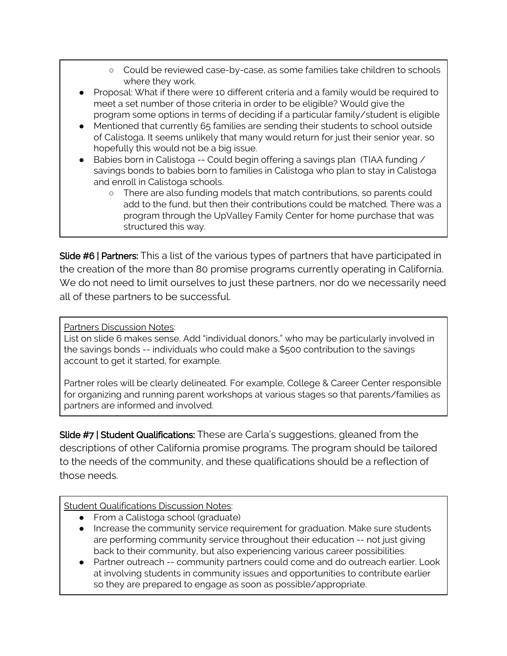- Could be reviewed case-by-case, as some families take children to schools where they work.
- Proposal: What if there were 10 different criteria and a family would be required to meet a set number of those criteria in order to be eligible? Would give the program some options in terms of deciding if a particular family/student is eligible
- Mentioned that currently 65 families are sending their students to school outside of Calistoga. It seems unlikely that many would return for just their senior year, so hopefully this would not be a big issue.
- Babies born in Calistoga -- Could begin offering a savings plan (TIAA funding / savings bonds to babies born to families in Calistoga who plan to stay in Calistoga and enroll in Calistoga schools.
	- There are also funding models that match contributions, so parents could add to the fund, but then their contributions could be matched. There was a program through the UpValley Family Center for home purchase that was structured this way.

Slide #6 | Partners: This a list of the various types of partners that have participated in the creation of the more than 80 promise programs currently operating in California. We do not need to limit ourselves to just these partners, nor do we necessarily need all of these partners to be successful.

Partners Discussion Notes:

List on slide 6 makes sense. Add "individual donors," who may be particularly involved in the savings bonds -- individuals who could make a \$500 contribution to the savings account to get it started, for example.

Partner roles will be clearly delineated. For example, College & Career Center responsible for organizing and running parent workshops at various stages so that parents/families as partners are informed and involved.

Slide #7 | Student Qualifications: These are Carla's suggestions, gleaned from the descriptions of other California promise programs. The program should be tailored to the needs of the community, and these qualifications should be a reflection of those needs.

### Student Qualifications Discussion Notes:

- From a Calistoga school (graduate)
- Increase the community service requirement for graduation. Make sure students are performing community service throughout their education -- not just giving back to their community, but also experiencing various career possibilities.
- Partner outreach -- community partners could come and do outreach earlier. Look at involving students in community issues and opportunities to contribute earlier so they are prepared to engage as soon as possible/appropriate.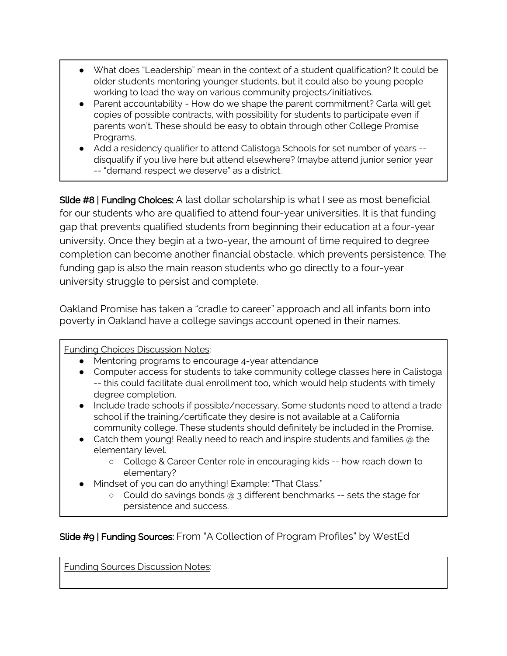- What does "Leadership" mean in the context of a student qualification? It could be older students mentoring younger students, but it could also be young people working to lead the way on various community projects/initiatives.
- Parent accountability How do we shape the parent commitment? Carla will get copies of possible contracts, with possibility for students to participate even if parents won't. These should be easy to obtain through other College Promise Programs.
- Add a residency qualifier to attend Calistoga Schools for set number of years -disqualify if you live here but attend elsewhere? (maybe attend junior senior year -- "demand respect we deserve" as a district.

Slide #8 | Funding Choices: A last dollar scholarship is what I see as most beneficial for our students who are qualified to attend four-year universities. It is that funding gap that prevents qualified students from beginning their education at a four-year university. Once they begin at a two-year, the amount of time required to degree completion can become another financial obstacle, which prevents persistence. The funding gap is also the main reason students who go directly to a four-year university struggle to persist and complete.

Oakland Promise has taken a "cradle to career" approach and all infants born into poverty in Oakland have a college savings account opened in their names.

Funding Choices Discussion Notes:

- Mentoring programs to encourage 4-year attendance
- Computer access for students to take community college classes here in Calistoga -- this could facilitate dual enrollment too, which would help students with timely degree completion.
- Include trade schools if possible/necessary. Some students need to attend a trade school if the training/certificate they desire is not available at a California community college. These students should definitely be included in the Promise.
- Catch them young! Really need to reach and inspire students and families @ the elementary level.
	- College & Career Center role in encouraging kids -- how reach down to elementary?
- Mindset of you can do anything! Example: "That Class."
	- Could do savings bonds @ 3 different benchmarks -- sets the stage for persistence and success.

Slide #9 | Funding Sources: From "A Collection of Program Profiles" by WestEd

Funding Sources Discussion Notes: